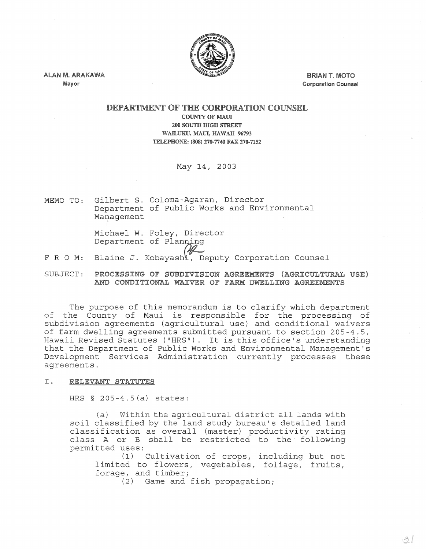

ALAN M. ARAKAWA Mayor

BRIAN T. MOTO Corporation Counsel

## DEPARTMENT OF THE CORPORATION COUNSEL COUNTY OF MAUL 200 SOUTH HIGH STREET

WAILUKU, MAUl:, HAWAII 96793 TELEPHONE: (808) 270-7740 FAX 270-7152

May 14, 2003

MEMO TO: Gilbert S. Coloma-Agaran, Director Department of Public Works and Environmental Management

> Michael W. Foley, Director Department of Planning

- FRO M: Blaine J. Kobayash peputy Corporation Counsel
- SUBJECT: PROCESSING OF SUBDIVISION AGREEMENTS (AGRICULTURAL USE) AND CONDITIONAL WAIVER OF FARM DWELLING AGREEMENTS

The purpose of this memorandum is to clarify which department of the County of Maui is responsible for the processing of subdivision agreements (agricultural use) and conditional waivers of farm dwelling agreements submitted pursuant to section 205-4.5, Hawaii Revised Statutes ("HRS"). It is this office's understanding that the Department of Public Works and Environmental Management's Development Services Administration currently processes these agreements.

I. RELEVANT STATUTES

HRS  $§$  205-4.5(a) states:

(a) Within the agricultural district all lands with soil classified by the land study bureau's detailed land classification as overall (master) productivity rating class A or B shall be restricted to the following permitted uses:

(1) Cultivation of crops, including but not limited to flowers, vegetables, foliage, fruits, forage, and timber;

(2) Game and fish propagation;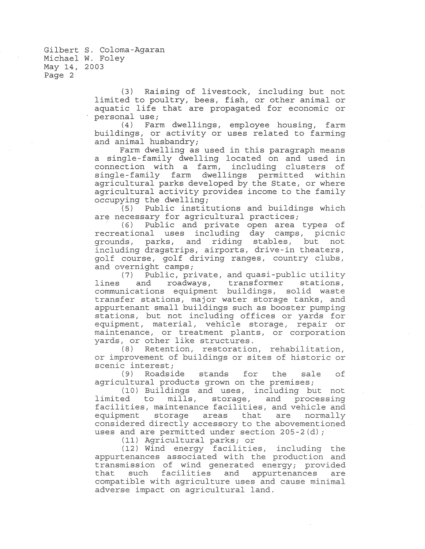> (3) Raising of livestock, including but not limited to poultry, bees, fish, or other animal or aquatic life that are propagated for economic or personal use;<br>(4) Far

> Farm dwellings, employee housing, farm buildings, or activity or uses related to farming and animal husbandry;

> . Farm dwelling as used in this paragraph means a single-family dwelling located on and used in connection with a farm, including clusters of single-family farm dwellings permitted within agricultural parks developed by the State, or where agricultural activity provides income to the family occupying the dwelling;

> (5) Public institutions and buildings which are necessary for agricultural practices;

> <sup>I</sup>(6) Public and private open area types of recreational uses including day camps, picnic grounds, parks, and riding stables, but not including dragstrips, airports, drive-in theaters, golf course, golf driving ranges, country clubs, and overnight camps;

> (7) Public, private, and quasi-public utility lines and roadways, transformer stations, communications equipment buildings, solid waste transfer stations, major water storage tanks, and appurtenant small buildings such as booster pumping stations, but not including offices or yards for equipment, material, vehicle storage, repair or maintenance, or treatment plants, or corporation yards, or other like structures.

> (8) Retention, restoration, rehabilitation, or improvement of buildings or sites of historic or scenic interest;<br>(9) Roadsi

> Roadside stands for the sale of agricultural products grown on the premises;

> (10) Buildings and uses, including but not<br>limited to mills, storage, and processing storage, and processing facilities, maintenance facilities, and vehicle and<br>equipment storaqe areas that are normally equipment storage areas that considered directly accessory to the abovementioned uses and are permitted under section 205-2(d);

> > (11) Agricultural parks; or

(12) Wind energy facilities, including the appurtenances associated with the production and transmission of wind generated energy; provided that such facilities and appurtenances are that such facilities and appurtenances are<br>compatible with agriculture uses and cause minimal adverse impact on agricultural land.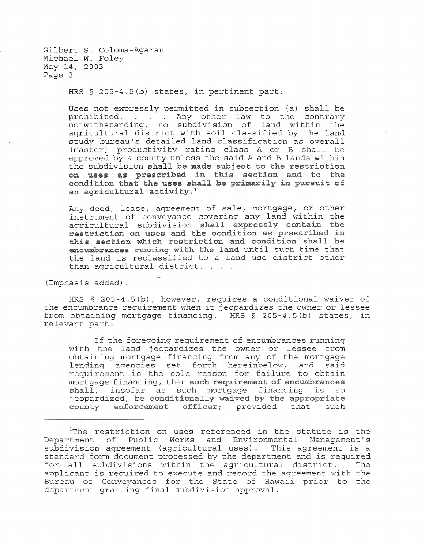HRS § 20S-4.S(b) states, in pertinent part:

Uses not expressly permitted in subsection (a) shall be prohibited. . . . Any other law to the contrary notwithstanding, no subdivision of land within the agricultural district with soil classified by the land study bureau's detailed land classification as overall (master) productivity rating class A or B shall be approved by a county unless the said A and B lands within the subdivision **shall be made subject to the restriction on uses as prescribed in this section and to the condition that the uses shall be primarily in pursuit of an agricultural activity.l** 

Any deed, lease, agreement of sale, mortgage, or other instrument of conveyance covering any land within the agricultural subdivision **shall expressly contain the restriction on uses and the condition as prescribed in this section which restriction and condition shall be encumbrances running with the land** until such time that the land is reclassified to a land use district other than agricultural district.

(Emphasis added) .

HRS § 20S-4.S(b), however, requires a conditional waiver of the encumbrance requirement when it jeopardizes the owner or lessee from obtaining mortgage financing. HRS § 20S-4.S(b) states, in relevant part:

If the foregoing requirement of encumbrances running with the land jeopardizes the owner or lessee from obtaining mortgage financing from any of the mortgage lending agencies set forth hereinbelow, and said requirement is the sole reason for failure to obtain mortgage financing, then **such requirement of encumbrances shall,** insofar as such mortgage financing is so jeopardized, be **conditionally waived by the appropriate county enforcement officer;** provided that such

 $1$ The restriction on uses referenced in the statute is the Department of Public Works and Environmental Management's subdivision agreement (agricultural uses). This agreement is a standard form document processed by the department and is required<br>for all subdivisions within the agricultural district. The for all subdivisions within the agricultural district. applicant is required to execute and record the agreement with the Bureau of Conveyances for the State of Hawaii prior to the department granting final subdivision approval.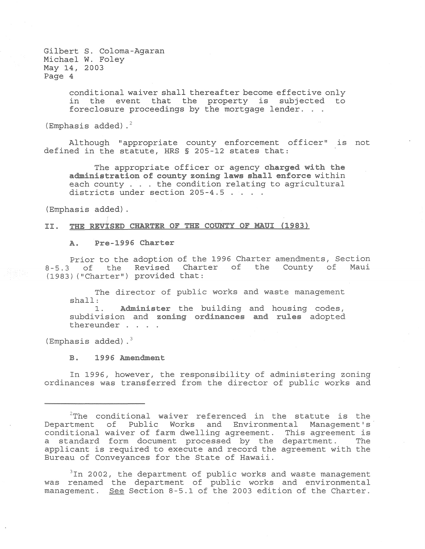> conditional waiver shall thereafter become effective only in the event that the property is subjected to foreclosure proceedings by the mortgage lender.

(Emphasis added). $^{2}$ 

Although "appropriate county enforcement officer" is not defined in the statute, HRS § 205-12 states that:

The appropriate officer or agency **charged with the administration of county zoning laws shall enforce** within each county . . . the condition relating to agricultural districts under section 205-4.5 . . . .

(Emphasis added).

## **II. THE REVisED CHARTER OF THE COUNTY OF MAUl (1983)**

## A. **Pre-1996 Charter**

Prior to the adoption of the 1996 Charter amendments, Section 8-5.3 of the Revised Charter of the County of Maui (1983) ("Charter") provided that:

The director of public works and waste management shall:

1. Administer the building and housing codes, subdivision and **zoning ordinances and rules** adopted thereunder . . .

(Emphasis added). $3$ 

## **B. 1996 Amendment**

In 1996, however, the responsibility of administering zoning ordinances was transferred from the director of public works and

 $3$ In 2002, the department of public works and waste management was renamed the department of public works and environmental man Islamse also depertements of pastle worlds and chartermental

 $2$ The conditional waiver referenced in the statute is the Department of Public Works and Environmental Management's' conditional waiver of farm dwelling agreement. This agreement is a standard form document processed by the department. The applicant is required to execute and record the agreement with the Bureau of Conveyances for the State of Hawaii.